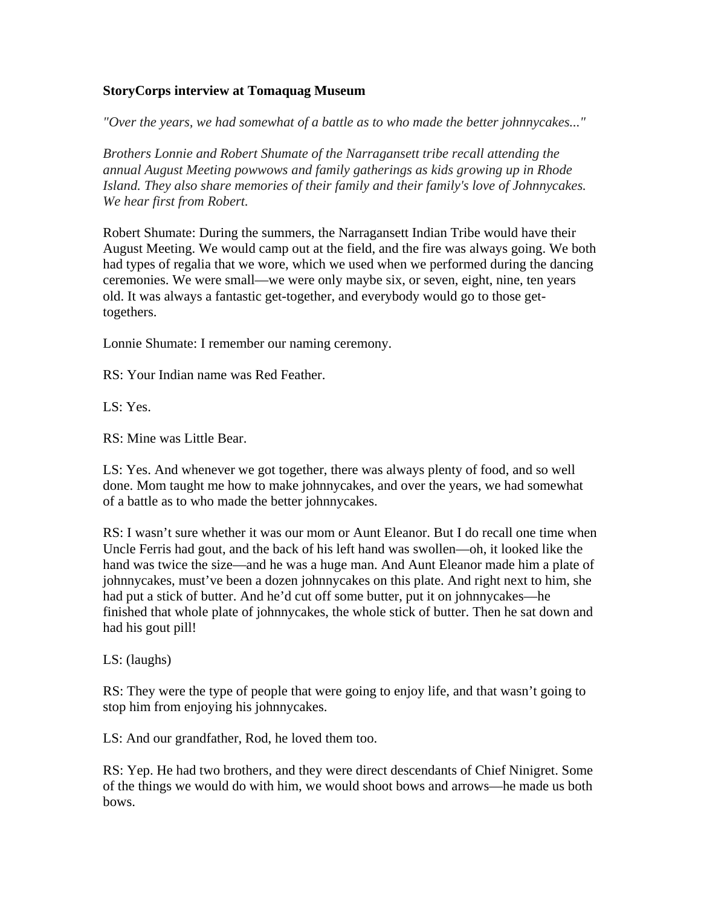## **StoryCorps interview at Tomaquag Museum**

*"Over the years, we had somewhat of a battle as to who made the better johnnycakes..."*

*Brothers Lonnie and Robert Shumate of the Narragansett tribe recall attending the annual August Meeting powwows and family gatherings as kids growing up in Rhode Island. They also share memories of their family and their family's love of Johnnycakes. We hear first from Robert.*

Robert Shumate: During the summers, the Narragansett Indian Tribe would have their August Meeting. We would camp out at the field, and the fire was always going. We both had types of regalia that we wore, which we used when we performed during the dancing ceremonies. We were small—we were only maybe six, or seven, eight, nine, ten years old. It was always a fantastic get-together, and everybody would go to those gettogethers.

Lonnie Shumate: I remember our naming ceremony.

RS: Your Indian name was Red Feather.

LS: Yes.

RS: Mine was Little Bear.

LS: Yes. And whenever we got together, there was always plenty of food, and so well done. Mom taught me how to make johnnycakes, and over the years, we had somewhat of a battle as to who made the better johnnycakes.

RS: I wasn't sure whether it was our mom or Aunt Eleanor. But I do recall one time when Uncle Ferris had gout, and the back of his left hand was swollen—oh, it looked like the hand was twice the size—and he was a huge man. And Aunt Eleanor made him a plate of johnnycakes, must've been a dozen johnnycakes on this plate. And right next to him, she had put a stick of butter. And he'd cut off some butter, put it on johnnycakes—he finished that whole plate of johnnycakes, the whole stick of butter. Then he sat down and had his gout pill!

LS: (laughs)

RS: They were the type of people that were going to enjoy life, and that wasn't going to stop him from enjoying his johnnycakes.

LS: And our grandfather, Rod, he loved them too.

RS: Yep. He had two brothers, and they were direct descendants of Chief Ninigret. Some of the things we would do with him, we would shoot bows and arrows—he made us both bows.